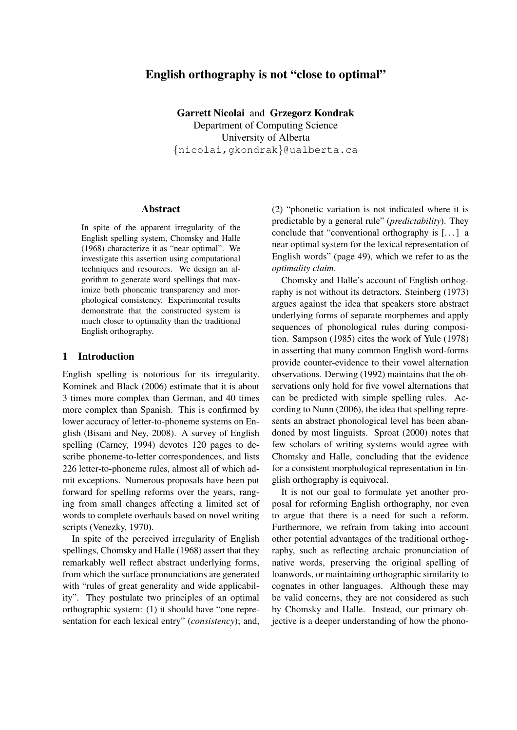# English orthography is not "close to optimal"

Garrett Nicolai and Grzegorz Kondrak Department of Computing Science University of Alberta {nicolai,gkondrak}@ualberta.ca

#### Abstract

In spite of the apparent irregularity of the English spelling system, Chomsky and Halle (1968) characterize it as "near optimal". We investigate this assertion using computational techniques and resources. We design an algorithm to generate word spellings that maximize both phonemic transparency and morphological consistency. Experimental results demonstrate that the constructed system is much closer to optimality than the traditional English orthography.

## 1 Introduction

English spelling is notorious for its irregularity. Kominek and Black (2006) estimate that it is about 3 times more complex than German, and 40 times more complex than Spanish. This is confirmed by lower accuracy of letter-to-phoneme systems on English (Bisani and Ney, 2008). A survey of English spelling (Carney, 1994) devotes 120 pages to describe phoneme-to-letter correspondences, and lists 226 letter-to-phoneme rules, almost all of which admit exceptions. Numerous proposals have been put forward for spelling reforms over the years, ranging from small changes affecting a limited set of words to complete overhauls based on novel writing scripts (Venezky, 1970).

In spite of the perceived irregularity of English spellings, Chomsky and Halle (1968) assert that they remarkably well reflect abstract underlying forms, from which the surface pronunciations are generated with "rules of great generality and wide applicability". They postulate two principles of an optimal orthographic system: (1) it should have "one representation for each lexical entry" (*consistency*); and, (2) "phonetic variation is not indicated where it is predictable by a general rule" (*predictability*). They conclude that "conventional orthography is [. . . ] a near optimal system for the lexical representation of English words" (page 49), which we refer to as the *optimality claim*.

Chomsky and Halle's account of English orthography is not without its detractors. Steinberg (1973) argues against the idea that speakers store abstract underlying forms of separate morphemes and apply sequences of phonological rules during composition. Sampson (1985) cites the work of Yule (1978) in asserting that many common English word-forms provide counter-evidence to their vowel alternation observations. Derwing (1992) maintains that the observations only hold for five vowel alternations that can be predicted with simple spelling rules. According to Nunn (2006), the idea that spelling represents an abstract phonological level has been abandoned by most linguists. Sproat (2000) notes that few scholars of writing systems would agree with Chomsky and Halle, concluding that the evidence for a consistent morphological representation in English orthography is equivocal.

It is not our goal to formulate yet another proposal for reforming English orthography, nor even to argue that there is a need for such a reform. Furthermore, we refrain from taking into account other potential advantages of the traditional orthography, such as reflecting archaic pronunciation of native words, preserving the original spelling of loanwords, or maintaining orthographic similarity to cognates in other languages. Although these may be valid concerns, they are not considered as such by Chomsky and Halle. Instead, our primary objective is a deeper understanding of how the phono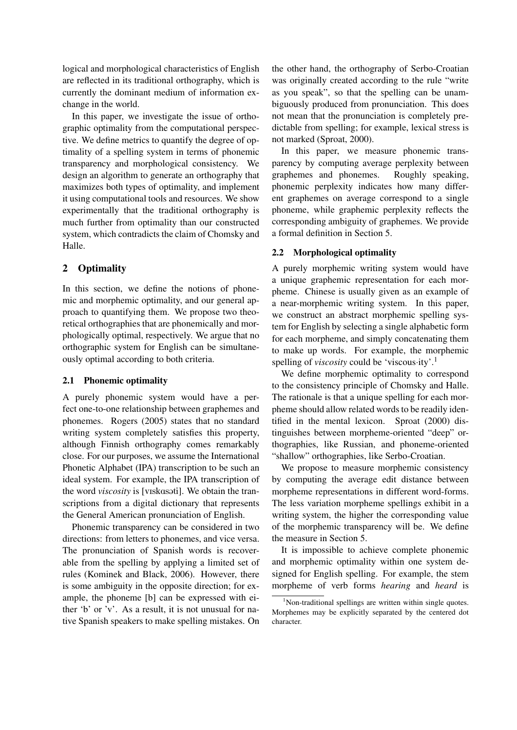logical and morphological characteristics of English are reflected in its traditional orthography, which is currently the dominant medium of information exchange in the world.

In this paper, we investigate the issue of orthographic optimality from the computational perspective. We define metrics to quantify the degree of optimality of a spelling system in terms of phonemic transparency and morphological consistency. We design an algorithm to generate an orthography that maximizes both types of optimality, and implement it using computational tools and resources. We show experimentally that the traditional orthography is much further from optimality than our constructed system, which contradicts the claim of Chomsky and Halle.

# 2 Optimality

In this section, we define the notions of phonemic and morphemic optimality, and our general approach to quantifying them. We propose two theoretical orthographies that are phonemically and morphologically optimal, respectively. We argue that no orthographic system for English can be simultaneously optimal according to both criteria.

### 2.1 Phonemic optimality

A purely phonemic system would have a perfect one-to-one relationship between graphemes and phonemes. Rogers (2005) states that no standard writing system completely satisfies this property, although Finnish orthography comes remarkably close. For our purposes, we assume the International Phonetic Alphabet (IPA) transcription to be such an ideal system. For example, the IPA transcription of the word *viscosity* is [viskasati]. We obtain the transcriptions from a digital dictionary that represents the General American pronunciation of English.

Phonemic transparency can be considered in two directions: from letters to phonemes, and vice versa. The pronunciation of Spanish words is recoverable from the spelling by applying a limited set of rules (Kominek and Black, 2006). However, there is some ambiguity in the opposite direction; for example, the phoneme [b] can be expressed with either 'b' or 'v'. As a result, it is not unusual for native Spanish speakers to make spelling mistakes. On the other hand, the orthography of Serbo-Croatian was originally created according to the rule "write as you speak", so that the spelling can be unambiguously produced from pronunciation. This does not mean that the pronunciation is completely predictable from spelling; for example, lexical stress is not marked (Sproat, 2000).

In this paper, we measure phonemic transparency by computing average perplexity between graphemes and phonemes. Roughly speaking, phonemic perplexity indicates how many different graphemes on average correspond to a single phoneme, while graphemic perplexity reflects the corresponding ambiguity of graphemes. We provide a formal definition in Section 5.

## 2.2 Morphological optimality

A purely morphemic writing system would have a unique graphemic representation for each morpheme. Chinese is usually given as an example of a near-morphemic writing system. In this paper, we construct an abstract morphemic spelling system for English by selecting a single alphabetic form for each morpheme, and simply concatenating them to make up words. For example, the morphemic spelling of *viscosity* could be 'viscous·ity'.<sup>1</sup>

We define morphemic optimality to correspond to the consistency principle of Chomsky and Halle. The rationale is that a unique spelling for each morpheme should allow related words to be readily identified in the mental lexicon. Sproat (2000) distinguishes between morpheme-oriented "deep" orthographies, like Russian, and phoneme-oriented "shallow" orthographies, like Serbo-Croatian.

We propose to measure morphemic consistency by computing the average edit distance between morpheme representations in different word-forms. The less variation morpheme spellings exhibit in a writing system, the higher the corresponding value of the morphemic transparency will be. We define the measure in Section 5.

It is impossible to achieve complete phonemic and morphemic optimality within one system designed for English spelling. For example, the stem morpheme of verb forms *hearing* and *heard* is

<sup>&</sup>lt;sup>1</sup>Non-traditional spellings are written within single quotes. Morphemes may be explicitly separated by the centered dot character.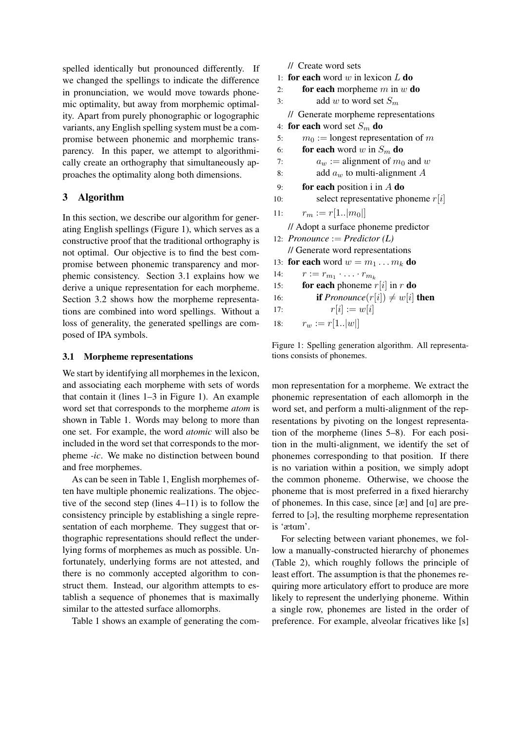spelled identically but pronounced differently. If we changed the spellings to indicate the difference in pronunciation, we would move towards phonemic optimality, but away from morphemic optimality. Apart from purely phonographic or logographic variants, any English spelling system must be a compromise between phonemic and morphemic transparency. In this paper, we attempt to algorithmically create an orthography that simultaneously approaches the optimality along both dimensions.

# 3 Algorithm

In this section, we describe our algorithm for generating English spellings (Figure 1), which serves as a constructive proof that the traditional orthography is not optimal. Our objective is to find the best compromise between phonemic transparency and morphemic consistency. Section 3.1 explains how we derive a unique representation for each morpheme. Section 3.2 shows how the morpheme representations are combined into word spellings. Without a loss of generality, the generated spellings are composed of IPA symbols.

## 3.1 Morpheme representations

We start by identifying all morphemes in the lexicon, and associating each morpheme with sets of words that contain it (lines 1–3 in Figure 1). An example word set that corresponds to the morpheme *atom* is shown in Table 1. Words may belong to more than one set. For example, the word *atomic* will also be included in the word set that corresponds to the morpheme *-ic*. We make no distinction between bound and free morphemes.

As can be seen in Table 1, English morphemes often have multiple phonemic realizations. The objective of the second step (lines 4–11) is to follow the consistency principle by establishing a single representation of each morpheme. They suggest that orthographic representations should reflect the underlying forms of morphemes as much as possible. Unfortunately, underlying forms are not attested, and there is no commonly accepted algorithm to construct them. Instead, our algorithm attempts to establish a sequence of phonemes that is maximally similar to the attested surface allomorphs.

Table 1 shows an example of generating the com-

// Create word sets 1: for each word  $w$  in lexicon  $L$  do 2: for each morpheme  $m$  in  $w$  do 3: add w to word set  $S_m$ // Generate morpheme representations 4: for each word set  $S_m$  do 5:  $m_0 :=$  longest representation of m 6: **for each** word w in  $S_m$  do 7:  $a_w := \text{alignment of } m_0 \text{ and } w$ 8: add  $a_w$  to multi-alignment A 9: **for each** position i in  $A$  do 10: select representative phoneme  $r[i]$ 11:  $r_m := r[1..|m_0|]$ // Adopt a surface phoneme predictor 12: *Pronounce* := *Predictor (L)* // Generate word representations 13: for each word  $w = m_1 \dots m_k$  do 14:  $r := r_{m_1} \cdot \ldots \cdot r_{m_k}$ 15: **for each** phoneme  $r[i]$  in r **do** 16: **if** *Pronounce* $(r[i]) \neq w[i]$  **then** 17:  $r[i] := w[i]$ 

```
18: r_w := r[1..|w|]
```
Figure 1: Spelling generation algorithm. All representations consists of phonemes.

mon representation for a morpheme. We extract the phonemic representation of each allomorph in the word set, and perform a multi-alignment of the representations by pivoting on the longest representation of the morpheme (lines 5–8). For each position in the multi-alignment, we identify the set of phonemes corresponding to that position. If there is no variation within a position, we simply adopt the common phoneme. Otherwise, we choose the phoneme that is most preferred in a fixed hierarchy of phonemes. In this case, since  $[\alpha]$  and  $[\alpha]$  are preferred to [ə], the resulting morpheme representation is 'ætam'.

For selecting between variant phonemes, we follow a manually-constructed hierarchy of phonemes (Table 2), which roughly follows the principle of least effort. The assumption is that the phonemes requiring more articulatory effort to produce are more likely to represent the underlying phoneme. Within a single row, phonemes are listed in the order of preference. For example, alveolar fricatives like [s]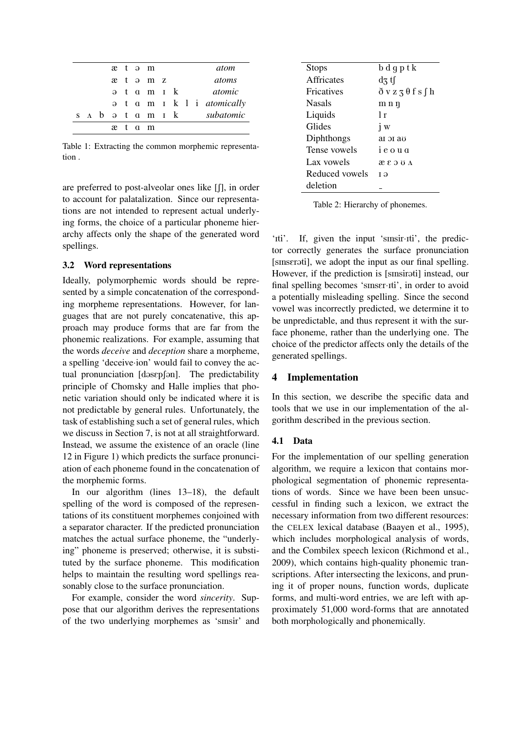|  |  |  | æt əm             |  |  | atom                              |
|--|--|--|-------------------|--|--|-----------------------------------|
|  |  |  | ætəmz             |  |  | atoms                             |
|  |  |  | ət amık           |  |  | atomic                            |
|  |  |  |                   |  |  | a t a m I k l i <i>atomically</i> |
|  |  |  | s a b ə t a m ı k |  |  | subatomic                         |
|  |  |  | ætam              |  |  |                                   |

Table 1: Extracting the common morphemic representation .

are preferred to post-alveolar ones like  $[ $\int$ ], in order$ to account for palatalization. Since our representations are not intended to represent actual underlying forms, the choice of a particular phoneme hierarchy affects only the shape of the generated word spellings.

### 3.2 Word representations

Ideally, polymorphemic words should be represented by a simple concatenation of the corresponding morpheme representations. However, for languages that are not purely concatenative, this approach may produce forms that are far from the phonemic realizations. For example, assuming that the words *deceive* and *deception* share a morpheme, a spelling 'deceive·ion' would fail to convey the actual pronunciation  $[dssep[<sub>9</sub>]]$ . The predictability principle of Chomsky and Halle implies that phonetic variation should only be indicated where it is not predictable by general rules. Unfortunately, the task of establishing such a set of general rules, which we discuss in Section 7, is not at all straightforward. Instead, we assume the existence of an oracle (line 12 in Figure 1) which predicts the surface pronunciation of each phoneme found in the concatenation of the morphemic forms.

In our algorithm (lines 13–18), the default spelling of the word is composed of the representations of its constituent morphemes conjoined with a separator character. If the predicted pronunciation matches the actual surface phoneme, the "underlying" phoneme is preserved; otherwise, it is substituted by the surface phoneme. This modification helps to maintain the resulting word spellings reasonably close to the surface pronunciation.

For example, consider the word *sincerity*. Suppose that our algorithm derives the representations of the two underlying morphemes as 'sInsir' and

| <b>Stops</b>      | bdgptk                              |
|-------------------|-------------------------------------|
| <b>Affricates</b> | $\mathrm{d}z\,\mathrm{t}\mathrm{f}$ |
| <b>Fricatives</b> | $\delta$ v z z $\theta$ f s f h     |
| <b>Nasals</b>     | mnη                                 |
| Liquids           | 1 r                                 |
| Glides            | $\mathbf{i} \mathbf{w}$             |
| Diphthongs        | ат эт аз                            |
| Tense vowels      | ieoug                               |
| Lax vowels        | <b>AUCS</b> &                       |
| Reduced vowels    | Тə                                  |
| deletion          |                                     |
|                   |                                     |

Table 2: Hierarchy of phonemes.

'Iti'. If, given the input 'sinsir-Iti', the predictor correctly generates the surface pronunciation [sinseroti], we adopt the input as our final spelling. However, if the prediction is [smsirati] instead, our final spelling becomes 'sinser·iti', in order to avoid a potentially misleading spelling. Since the second vowel was incorrectly predicted, we determine it to be unpredictable, and thus represent it with the surface phoneme, rather than the underlying one. The choice of the predictor affects only the details of the generated spellings.

### 4 Implementation

In this section, we describe the specific data and tools that we use in our implementation of the algorithm described in the previous section.

## 4.1 Data

For the implementation of our spelling generation algorithm, we require a lexicon that contains morphological segmentation of phonemic representations of words. Since we have been been unsuccessful in finding such a lexicon, we extract the necessary information from two different resources: the CELEX lexical database (Baayen et al., 1995), which includes morphological analysis of words, and the Combilex speech lexicon (Richmond et al., 2009), which contains high-quality phonemic transcriptions. After intersecting the lexicons, and pruning it of proper nouns, function words, duplicate forms, and multi-word entries, we are left with approximately 51,000 word-forms that are annotated both morphologically and phonemically.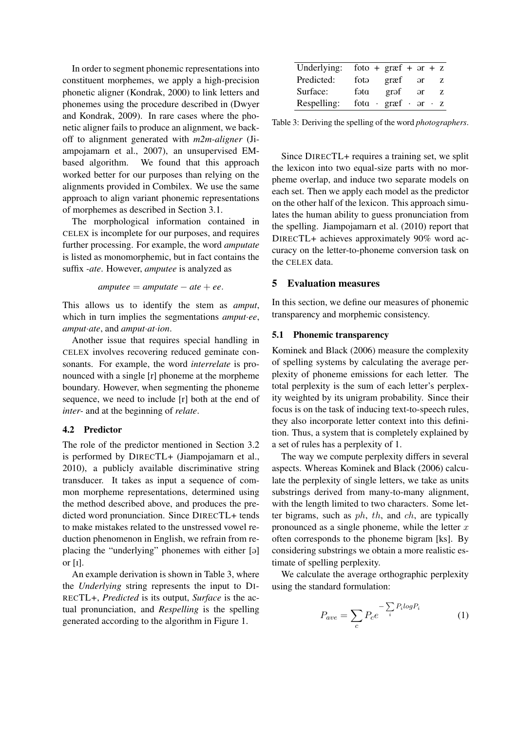In order to segment phonemic representations into constituent morphemes, we apply a high-precision phonetic aligner (Kondrak, 2000) to link letters and phonemes using the procedure described in (Dwyer and Kondrak, 2009). In rare cases where the phonetic aligner fails to produce an alignment, we backoff to alignment generated with *m2m-aligner* (Jiampojamarn et al., 2007), an unsupervised EMbased algorithm. We found that this approach worked better for our purposes than relying on the alignments provided in Combilex. We use the same approach to align variant phonemic representations of morphemes as described in Section 3.1.

The morphological information contained in CELEX is incomplete for our purposes, and requires further processing. For example, the word *amputate* is listed as monomorphemic, but in fact contains the suffix *-ate*. However, *amputee* is analyzed as

 $amputee = amputate - ate + ee.$ 

This allows us to identify the stem as *amput*, which in turn implies the segmentations *amput*·*ee*, *amput*·*ate*, and *amput*·*at*·*ion*.

Another issue that requires special handling in CELEX involves recovering reduced geminate consonants. For example, the word *interrelate* is pronounced with a single [r] phoneme at the morpheme boundary. However, when segmenting the phoneme sequence, we need to include [r] both at the end of *inter-* and at the beginning of *relate*.

### 4.2 Predictor

The role of the predictor mentioned in Section 3.2 is performed by DIRECTL+ (Jiampojamarn et al., 2010), a publicly available discriminative string transducer. It takes as input a sequence of common morpheme representations, determined using the method described above, and produces the predicted word pronunciation. Since DIRECTL+ tends to make mistakes related to the unstressed vowel reduction phenomenon in English, we refrain from replacing the "underlying" phonemes with either [a] or [I].

An example derivation is shown in Table 3, where the *Underlying* string represents the input to DI-RECTL+, *Predicted* is its output, *Surface* is the actual pronunciation, and *Respelling* is the spelling generated according to the algorithm in Figure 1.

| Underlying: |      | foto + $graf + ar + z$                 |            |      |
|-------------|------|----------------------------------------|------------|------|
| Predicted:  | fotə | græf                                   | $-$ ər     | z    |
| Surface:    | fəta | grəf                                   | $\partial$ | - 7. |
| Respelling: |      | fota $\cdot$ græf $\cdot$ or $\cdot$ z |            |      |

Table 3: Deriving the spelling of the word *photographers*.

Since DIRECTL+ requires a training set, we split the lexicon into two equal-size parts with no morpheme overlap, and induce two separate models on each set. Then we apply each model as the predictor on the other half of the lexicon. This approach simulates the human ability to guess pronunciation from the spelling. Jiampojamarn et al. (2010) report that DIRECTL+ achieves approximately 90% word accuracy on the letter-to-phoneme conversion task on the CELEX data.

# 5 Evaluation measures

In this section, we define our measures of phonemic transparency and morphemic consistency.

### 5.1 Phonemic transparency

Kominek and Black (2006) measure the complexity of spelling systems by calculating the average perplexity of phoneme emissions for each letter. The total perplexity is the sum of each letter's perplexity weighted by its unigram probability. Since their focus is on the task of inducing text-to-speech rules, they also incorporate letter context into this definition. Thus, a system that is completely explained by a set of rules has a perplexity of 1.

The way we compute perplexity differs in several aspects. Whereas Kominek and Black (2006) calculate the perplexity of single letters, we take as units substrings derived from many-to-many alignment, with the length limited to two characters. Some letter bigrams, such as  $ph, th,$  and  $ch,$  are typically pronounced as a single phoneme, while the letter  $x$ often corresponds to the phoneme bigram [ks]. By considering substrings we obtain a more realistic estimate of spelling perplexity.

We calculate the average orthographic perplexity using the standard formulation:

$$
P_{ave} = \sum_{c} P_c e^{-\sum_{i} P_i log P_i}
$$
 (1)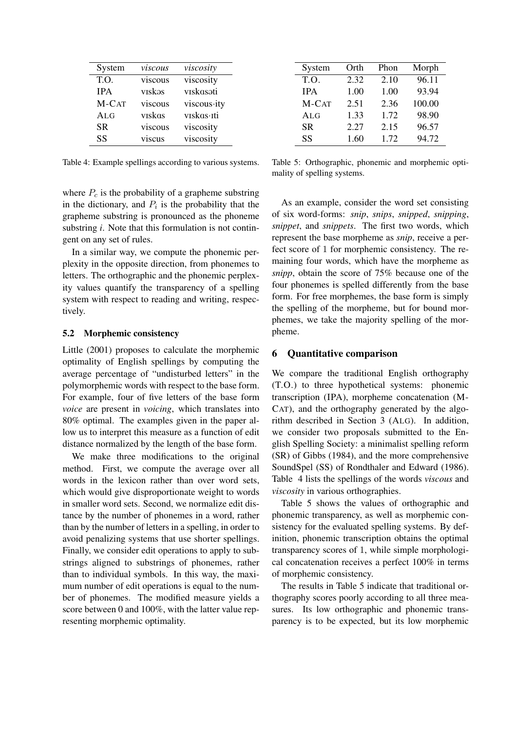| System     | viscous | viscosity   |
|------------|---------|-------------|
| T.O.       | viscous | viscosity   |
| <b>IPA</b> | viskəs  | viskasoti   |
| M-CAT      | viscous | viscous ity |
| ALG        | vīskās  | vīskās∙īti  |
| <b>SR</b>  | viscous | viscosity   |
| SS         | viscus  | viscosity   |

Table 4: Example spellings according to various systems.

where  $P_c$  is the probability of a grapheme substring in the dictionary, and  $P_i$  is the probability that the grapheme substring is pronounced as the phoneme substring *i*. Note that this formulation is not contingent on any set of rules.

In a similar way, we compute the phonemic perplexity in the opposite direction, from phonemes to letters. The orthographic and the phonemic perplexity values quantify the transparency of a spelling system with respect to reading and writing, respectively.

#### 5.2 Morphemic consistency

Little (2001) proposes to calculate the morphemic optimality of English spellings by computing the average percentage of "undisturbed letters" in the polymorphemic words with respect to the base form. For example, four of five letters of the base form *voice* are present in *voicing*, which translates into 80% optimal. The examples given in the paper allow us to interpret this measure as a function of edit distance normalized by the length of the base form.

We make three modifications to the original method. First, we compute the average over all words in the lexicon rather than over word sets, which would give disproportionate weight to words in smaller word sets. Second, we normalize edit distance by the number of phonemes in a word, rather than by the number of letters in a spelling, in order to avoid penalizing systems that use shorter spellings. Finally, we consider edit operations to apply to substrings aligned to substrings of phonemes, rather than to individual symbols. In this way, the maximum number of edit operations is equal to the number of phonemes. The modified measure yields a score between 0 and 100%, with the latter value representing morphemic optimality.

| Orth | Phon | Morph  |
|------|------|--------|
| 2.32 | 2.10 | 96.11  |
| 1.00 | 1.00 | 93.94  |
| 2.51 | 2.36 | 100.00 |
| 1.33 | 1.72 | 98.90  |
| 2.27 | 2.15 | 96.57  |
| 1.60 | 1.72 | 94.72  |
|      |      |        |

Table 5: Orthographic, phonemic and morphemic optimality of spelling systems.

As an example, consider the word set consisting of six word-forms: *snip*, *snips*, *snipped*, *snipping*, *snippet*, and *snippets*. The first two words, which represent the base morpheme as *snip*, receive a perfect score of 1 for morphemic consistency. The remaining four words, which have the morpheme as *snipp*, obtain the score of 75% because one of the four phonemes is spelled differently from the base form. For free morphemes, the base form is simply the spelling of the morpheme, but for bound morphemes, we take the majority spelling of the morpheme.

#### 6 Quantitative comparison

We compare the traditional English orthography (T.O.) to three hypothetical systems: phonemic transcription (IPA), morpheme concatenation (M-CAT), and the orthography generated by the algorithm described in Section 3 (ALG). In addition, we consider two proposals submitted to the English Spelling Society: a minimalist spelling reform (SR) of Gibbs (1984), and the more comprehensive SoundSpel (SS) of Rondthaler and Edward (1986). Table 4 lists the spellings of the words *viscous* and *viscosity* in various orthographies.

Table 5 shows the values of orthographic and phonemic transparency, as well as morphemic consistency for the evaluated spelling systems. By definition, phonemic transcription obtains the optimal transparency scores of 1, while simple morphological concatenation receives a perfect 100% in terms of morphemic consistency.

The results in Table 5 indicate that traditional orthography scores poorly according to all three measures. Its low orthographic and phonemic transparency is to be expected, but its low morphemic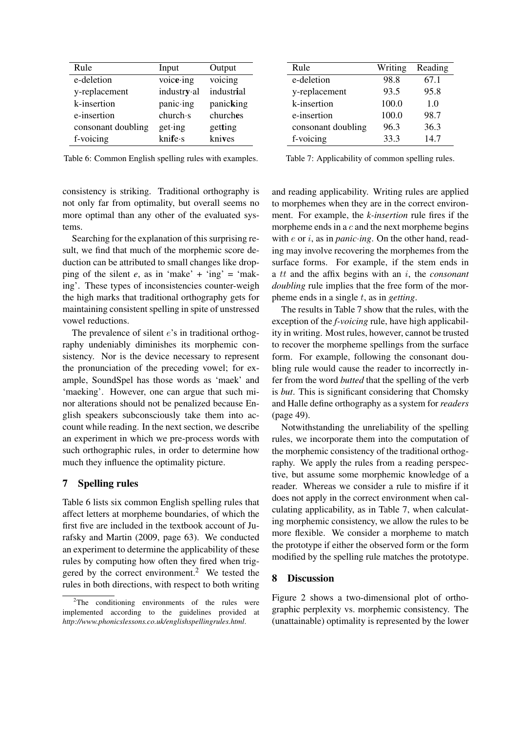| Rule               | Input              | Output     |
|--------------------|--------------------|------------|
| e-deletion         | voice $\cdot$ ing  | voicing    |
| y-replacement      | industry al        | industrial |
| k-insertion        | panic∙ing          | panicking  |
| e-insertion        | charch·s           | churches   |
| consonant doubling | $get \cdot ing$    | getting    |
| f-voicing          | $k$ nife $\cdot$ s | knives     |

Table 6: Common English spelling rules with examples.

consistency is striking. Traditional orthography is not only far from optimality, but overall seems no more optimal than any other of the evaluated systems.

Searching for the explanation of this surprising result, we find that much of the morphemic score deduction can be attributed to small changes like dropping of the silent  $e$ , as in 'make' + 'ing' = 'making'. These types of inconsistencies counter-weigh the high marks that traditional orthography gets for maintaining consistent spelling in spite of unstressed vowel reductions.

The prevalence of silent *e*'s in traditional orthography undeniably diminishes its morphemic consistency. Nor is the device necessary to represent the pronunciation of the preceding vowel; for example, SoundSpel has those words as 'maek' and 'maeking'. However, one can argue that such minor alterations should not be penalized because English speakers subconsciously take them into account while reading. In the next section, we describe an experiment in which we pre-process words with such orthographic rules, in order to determine how much they influence the optimality picture.

### 7 Spelling rules

Table 6 lists six common English spelling rules that affect letters at morpheme boundaries, of which the first five are included in the textbook account of Jurafsky and Martin (2009, page 63). We conducted an experiment to determine the applicability of these rules by computing how often they fired when triggered by the correct environment.<sup>2</sup> We tested the rules in both directions, with respect to both writing

| Rule               | Writing | Reading |
|--------------------|---------|---------|
| e-deletion         | 98.8    | 67.1    |
| y-replacement      | 93.5    | 95.8    |
| k-insertion        | 100.0   | 1.0     |
| e-insertion        | 100.0   | 98.7    |
| consonant doubling | 96.3    | 36.3    |
| f-voicing          | 33.3    | 14.7    |

Table 7: Applicability of common spelling rules.

and reading applicability. Writing rules are applied to morphemes when they are in the correct environment. For example, the *k-insertion* rule fires if the morpheme ends in a  $c$  and the next morpheme begins with e or i, as in *panic*·*ing*. On the other hand, reading may involve recovering the morphemes from the surface forms. For example, if the stem ends in a tt and the affix begins with an i, the *consonant doubling* rule implies that the free form of the morpheme ends in a single t, as in *getting*.

The results in Table 7 show that the rules, with the exception of the *f-voicing* rule, have high applicability in writing. Most rules, however, cannot be trusted to recover the morpheme spellings from the surface form. For example, following the consonant doubling rule would cause the reader to incorrectly infer from the word *butted* that the spelling of the verb is *but*. This is significant considering that Chomsky and Halle define orthography as a system for *readers* (page 49).

Notwithstanding the unreliability of the spelling rules, we incorporate them into the computation of the morphemic consistency of the traditional orthography. We apply the rules from a reading perspective, but assume some morphemic knowledge of a reader. Whereas we consider a rule to misfire if it does not apply in the correct environment when calculating applicability, as in Table 7, when calculating morphemic consistency, we allow the rules to be more flexible. We consider a morpheme to match the prototype if either the observed form or the form modified by the spelling rule matches the prototype.

# 8 Discussion

Figure 2 shows a two-dimensional plot of orthographic perplexity vs. morphemic consistency. The (unattainable) optimality is represented by the lower

<sup>&</sup>lt;sup>2</sup>The conditioning environments of the rules were implemented according to the guidelines provided at *http://www.phonicslessons.co.uk/englishspellingrules.html*.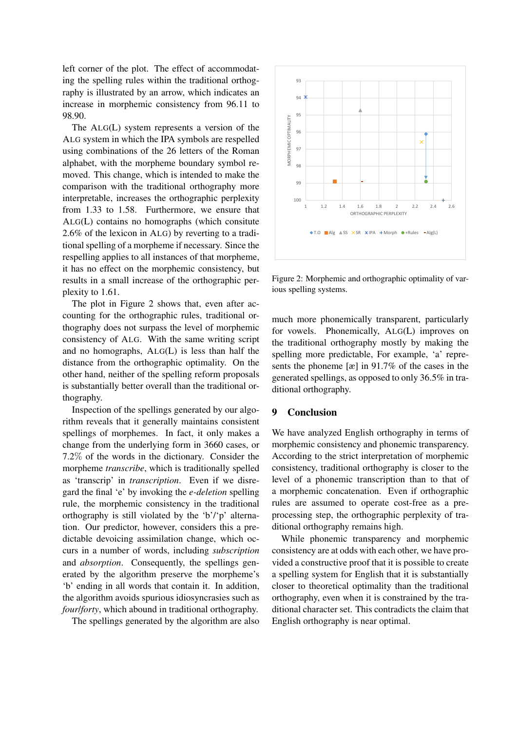left corner of the plot. The effect of accommodating the spelling rules within the traditional orthography is illustrated by an arrow, which indicates an increase in morphemic consistency from 96.11 to 98.90.

The ALG(L) system represents a version of the ALG system in which the IPA symbols are respelled using combinations of the 26 letters of the Roman alphabet, with the morpheme boundary symbol removed. This change, which is intended to make the comparison with the traditional orthography more interpretable, increases the orthographic perplexity from 1.33 to 1.58. Furthermore, we ensure that ALG(L) contains no homographs (which consitute 2.6% of the lexicon in ALG) by reverting to a traditional spelling of a morpheme if necessary. Since the respelling applies to all instances of that morpheme, it has no effect on the morphemic consistency, but results in a small increase of the orthographic perplexity to 1.61.

The plot in Figure 2 shows that, even after accounting for the orthographic rules, traditional orthography does not surpass the level of morphemic consistency of ALG. With the same writing script and no homographs, ALG(L) is less than half the distance from the orthographic optimality. On the other hand, neither of the spelling reform proposals is substantially better overall than the traditional orthography.

Inspection of the spellings generated by our algorithm reveals that it generally maintains consistent spellings of morphemes. In fact, it only makes a change from the underlying form in 3660 cases, or 7.2% of the words in the dictionary. Consider the morpheme *transcribe*, which is traditionally spelled as 'transcrip' in *transcription*. Even if we disregard the final 'e' by invoking the *e-deletion* spelling rule, the morphemic consistency in the traditional orthography is still violated by the 'b'/'p' alternation. Our predictor, however, considers this a predictable devoicing assimilation change, which occurs in a number of words, including *subscription* and *absorption*. Consequently, the spellings generated by the algorithm preserve the morpheme's 'b' ending in all words that contain it. In addition, the algorithm avoids spurious idiosyncrasies such as *four*/*forty*, which abound in traditional orthography.

The spellings generated by the algorithm are also



Figure 2: Morphemic and orthographic optimality of various spelling systems.

much more phonemically transparent, particularly for vowels. Phonemically, ALG(L) improves on the traditional orthography mostly by making the spelling more predictable, For example, 'a' represents the phoneme [æ] in 91.7% of the cases in the generated spellings, as opposed to only 36.5% in traditional orthography.

## 9 Conclusion

We have analyzed English orthography in terms of morphemic consistency and phonemic transparency. According to the strict interpretation of morphemic consistency, traditional orthography is closer to the level of a phonemic transcription than to that of a morphemic concatenation. Even if orthographic rules are assumed to operate cost-free as a preprocessing step, the orthographic perplexity of traditional orthography remains high.

While phonemic transparency and morphemic consistency are at odds with each other, we have provided a constructive proof that it is possible to create a spelling system for English that it is substantially closer to theoretical optimality than the traditional orthography, even when it is constrained by the traditional character set. This contradicts the claim that English orthography is near optimal.